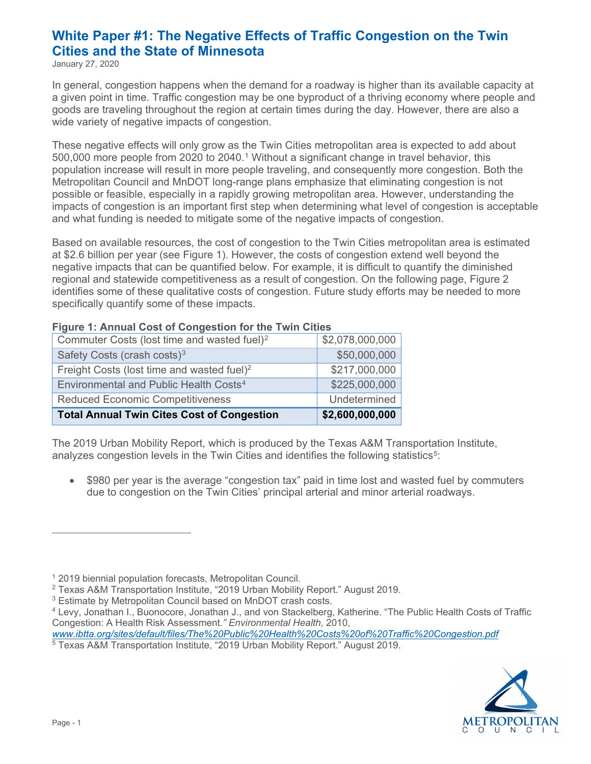# **White Paper #1: The Negative Effects of Traffic Congestion on the Twin Cities and the State of Minnesota**

January 27, 2020

In general, congestion happens when the demand for a roadway is higher than its available capacity at a given point in time. Traffic congestion may be one byproduct of a thriving economy where people and goods are traveling throughout the region at certain times during the day. However, there are also a wide variety of negative impacts of congestion.

These negative effects will only grow as the Twin Cities metropolitan area is expected to add about 500,000 more people from 2020 to 2040.[1](#page-0-0) Without a significant change in travel behavior, this population increase will result in more people traveling, and consequently more congestion. Both the Metropolitan Council and MnDOT long-range plans emphasize that eliminating congestion is not possible or feasible, especially in a rapidly growing metropolitan area. However, understanding the impacts of congestion is an important first step when determining what level of congestion is acceptable and what funding is needed to mitigate some of the negative impacts of congestion.

Based on available resources, the cost of congestion to the Twin Cities metropolitan area is estimated at \$2.6 billion per year (see Figure 1). However, the costs of congestion extend well beyond the negative impacts that can be quantified below. For example, it is difficult to quantify the diminished regional and statewide competitiveness as a result of congestion. On the following page, Figure 2 identifies some of these qualitative costs of congestion. Future study efforts may be needed to more specifically quantify some of these impacts.

| <b>Total Annual Twin Cites Cost of Congestion</b>       | \$2,600,000,000 |
|---------------------------------------------------------|-----------------|
| <b>Reduced Economic Competitiveness</b>                 | Undetermined    |
| Environmental and Public Health Costs <sup>4</sup>      | \$225,000,000   |
| Freight Costs (lost time and wasted fuel) <sup>2</sup>  | \$217,000,000   |
| Safety Costs (crash costs) <sup>3</sup>                 | \$50,000,000    |
| Commuter Costs (lost time and wasted fuel) <sup>2</sup> | \$2,078,000,000 |

#### **Figure 1: Annual Cost of Congestion for the Twin Cities**

The 2019 Urban Mobility Report, which is produced by the Texas A&M Transportation Institute, analyzes congestion levels in the Twin Cities and identifies the following statistics<sup>[5](#page-0-4)</sup>:

• \$980 per year is the average "congestion tax" paid in time lost and wasted fuel by commuters due to congestion on the Twin Cities' principal arterial and minor arterial roadways.

<span id="page-0-2"></span><sup>3</sup> Estimate by Metropolitan Council based on MnDOT crash costs.

<span id="page-0-0"></span><sup>1</sup> 2019 biennial population forecasts, Metropolitan Council.

<span id="page-0-1"></span><sup>2</sup> Texas A&M Transportation Institute, "2019 Urban Mobility Report." August 2019.

<span id="page-0-3"></span><sup>4</sup> Levy, Jonathan I., Buonocore, Jonathan J., and von Stackelberg, Katherine. "The Public Health Costs of Traffic Congestion: A Health Risk Assessment*." Environmental Health,* 2010,

<span id="page-0-4"></span>*www.ibtta.org/sites/default/files/The%20Public%20Health%20Costs%20of%20Traffic%20Congestion.pdf*5 Texas A&M Transportation Institute, "2019 Urban Mobility Report." August 2019.

METROPOLITAN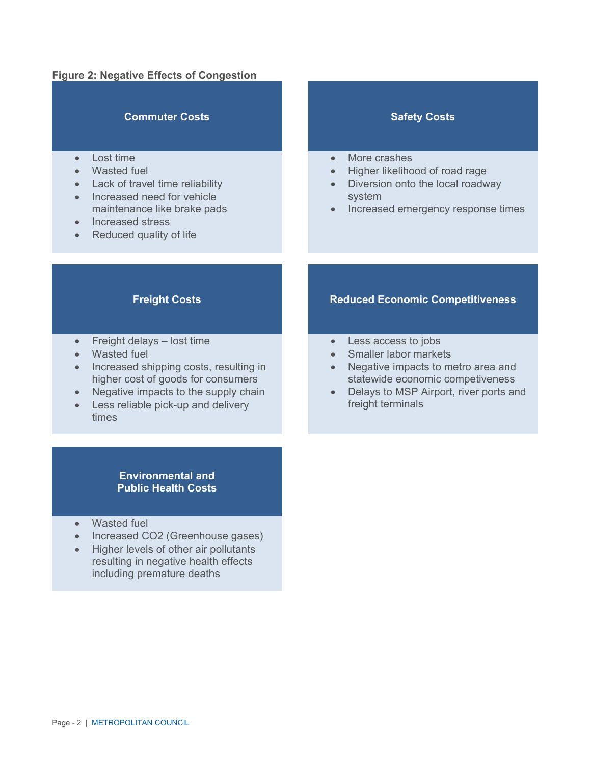#### **Figure 2: Negative Effects of Congestion**

#### **Commuter Costs Safety Costs**

- Lost time
- Wasted fuel
- Lack of travel time reliability
- Increased need for vehicle maintenance like brake pads
- Increased stress
- Reduced quality of life

- More crashes
- Higher likelihood of road rage
- Diversion onto the local roadway system
- Increased emergency response times

- Freight delays lost time
- Wasted fuel
- Increased shipping costs, resulting in higher cost of goods for consumers
- Negative impacts to the supply chain
- Less reliable pick-up and delivery times

#### **Freight Costs Reduced Economic Competitiveness**

- Less access to jobs
- Smaller labor markets
- Negative impacts to metro area and statewide economic competiveness
- Delays to MSP Airport, river ports and freight terminals

#### **Environmental and Public Health Costs**

- Wasted fuel
- Increased CO2 (Greenhouse gases)
- Higher levels of other air pollutants resulting in negative health effects including premature deaths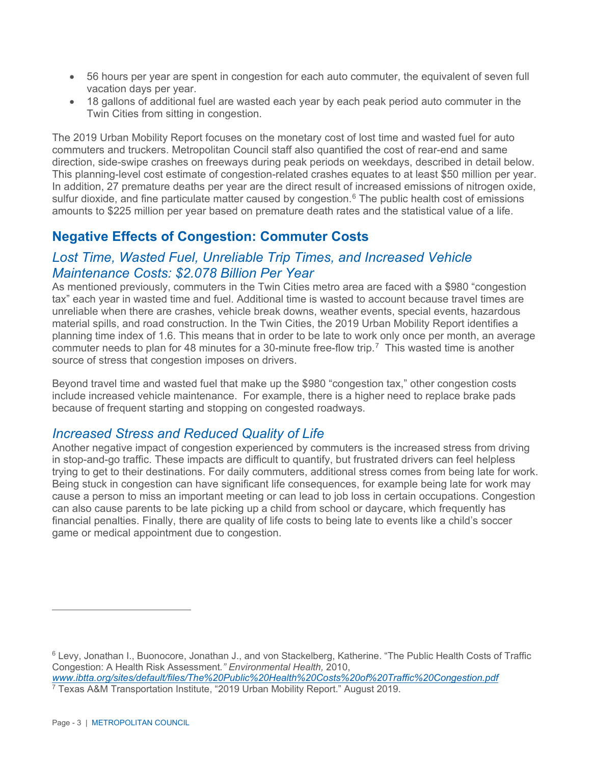- 56 hours per year are spent in congestion for each auto commuter, the equivalent of seven full vacation days per year.
- 18 gallons of additional fuel are wasted each year by each peak period auto commuter in the Twin Cities from sitting in congestion.

The 2019 Urban Mobility Report focuses on the monetary cost of lost time and wasted fuel for auto commuters and truckers. Metropolitan Council staff also quantified the cost of rear-end and same direction, side-swipe crashes on freeways during peak periods on weekdays, described in detail below. This planning-level cost estimate of congestion-related crashes equates to at least \$50 million per year. In addition, 27 premature deaths per year are the direct result of increased emissions of nitrogen oxide, sulfur dioxide, and fine particulate matter caused by congestion.<sup>[6](#page-2-0)</sup> The public health cost of emissions amounts to \$225 million per year based on premature death rates and the statistical value of a life.

# **Negative Effects of Congestion: Commuter Costs**

# *Lost Time, Wasted Fuel, Unreliable Trip Times, and Increased Vehicle Maintenance Costs: \$2.078 Billion Per Year*

As mentioned previously, commuters in the Twin Cities metro area are faced with a \$980 "congestion tax" each year in wasted time and fuel. Additional time is wasted to account because travel times are unreliable when there are crashes, vehicle break downs, weather events, special events, hazardous material spills, and road construction. In the Twin Cities, the 2019 Urban Mobility Report identifies a planning time index of 1.6. This means that in order to be late to work only once per month, an average commuter needs to plan for 48 minutes for a 30-minute free-flow trip.[7](#page-2-1) This wasted time is another source of stress that congestion imposes on drivers.

Beyond travel time and wasted fuel that make up the \$980 "congestion tax," other congestion costs include increased vehicle maintenance. For example, there is a higher need to replace brake pads because of frequent starting and stopping on congested roadways.

#### *Increased Stress and Reduced Quality of Life*

Another negative impact of congestion experienced by commuters is the increased stress from driving in stop-and-go traffic. These impacts are difficult to quantify, but frustrated drivers can feel helpless trying to get to their destinations. For daily commuters, additional stress comes from being late for work. Being stuck in congestion can have significant life consequences, for example being late for work may cause a person to miss an important meeting or can lead to job loss in certain occupations. Congestion can also cause parents to be late picking up a child from school or daycare, which frequently has financial penalties. Finally, there are quality of life costs to being late to events like a child's soccer game or medical appointment due to congestion.

<span id="page-2-1"></span><sup>7</sup> Texas A&M Transportation Institute, "2019 Urban Mobility Report." August 2019.

<span id="page-2-0"></span><sup>6</sup> Levy, Jonathan I., Buonocore, Jonathan J., and von Stackelberg, Katherine. "The Public Health Costs of Traffic Congestion: A Health Risk Assessment*." Environmental Health,* 2010, *[www.ibtta.org/sites/default/files/The%20Public%20Health%20Costs%20of%20Traffic%20Congestion.pdf](http://www.ibtta.org/sites/default/files/The%20Public%20Health%20Costs%20of%20Traffic%20Congestion.pdf)*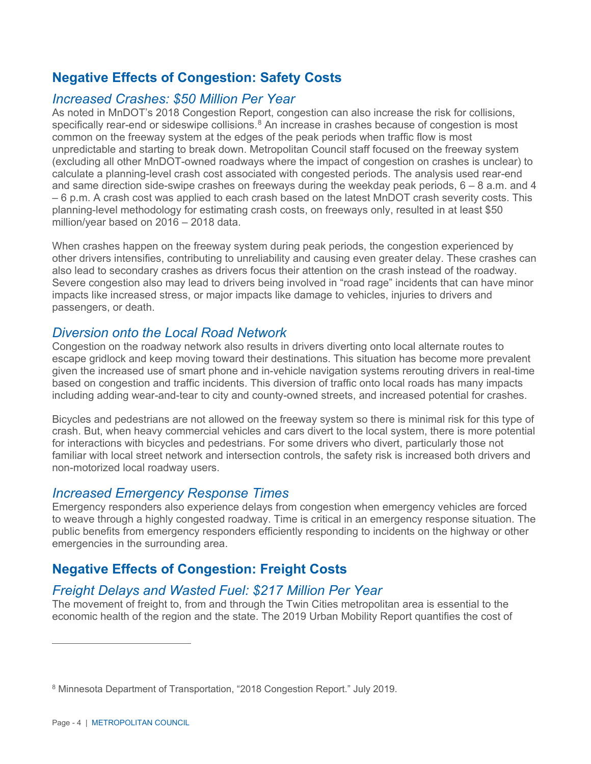# **Negative Effects of Congestion: Safety Costs**

### *Increased Crashes: \$50 Million Per Year*

As noted in MnDOT's 2018 Congestion Report, congestion can also increase the risk for collisions, specifically rear-end or sideswipe collisions.<sup>[8](#page-3-0)</sup> An increase in crashes because of congestion is most common on the freeway system at the edges of the peak periods when traffic flow is most unpredictable and starting to break down. Metropolitan Council staff focused on the freeway system (excluding all other MnDOT-owned roadways where the impact of congestion on crashes is unclear) to calculate a planning-level crash cost associated with congested periods. The analysis used rear-end and same direction side-swipe crashes on freeways during the weekday peak periods,  $6 - 8$  a.m. and 4 – 6 p.m. A crash cost was applied to each crash based on the latest MnDOT crash severity costs. This planning-level methodology for estimating crash costs, on freeways only, resulted in at least \$50 million/year based on 2016 – 2018 data.

When crashes happen on the freeway system during peak periods, the congestion experienced by other drivers intensifies, contributing to unreliability and causing even greater delay. These crashes can also lead to secondary crashes as drivers focus their attention on the crash instead of the roadway. Severe congestion also may lead to drivers being involved in "road rage" incidents that can have minor impacts like increased stress, or major impacts like damage to vehicles, injuries to drivers and passengers, or death.

#### *Diversion onto the Local Road Network*

Congestion on the roadway network also results in drivers diverting onto local alternate routes to escape gridlock and keep moving toward their destinations. This situation has become more prevalent given the increased use of smart phone and in-vehicle navigation systems rerouting drivers in real-time based on congestion and traffic incidents. This diversion of traffic onto local roads has many impacts including adding wear-and-tear to city and county-owned streets, and increased potential for crashes.

Bicycles and pedestrians are not allowed on the freeway system so there is minimal risk for this type of crash. But, when heavy commercial vehicles and cars divert to the local system, there is more potential for interactions with bicycles and pedestrians. For some drivers who divert, particularly those not familiar with local street network and intersection controls, the safety risk is increased both drivers and non-motorized local roadway users.

#### *Increased Emergency Response Times*

Emergency responders also experience delays from congestion when emergency vehicles are forced to weave through a highly congested roadway. Time is critical in an emergency response situation. The public benefits from emergency responders efficiently responding to incidents on the highway or other emergencies in the surrounding area.

# **Negative Effects of Congestion: Freight Costs**

## *Freight Delays and Wasted Fuel: \$217 Million Per Year*

The movement of freight to, from and through the Twin Cities metropolitan area is essential to the economic health of the region and the state. The 2019 Urban Mobility Report quantifies the cost of

<span id="page-3-0"></span><sup>8</sup> Minnesota Department of Transportation, "2018 Congestion Report." July 2019.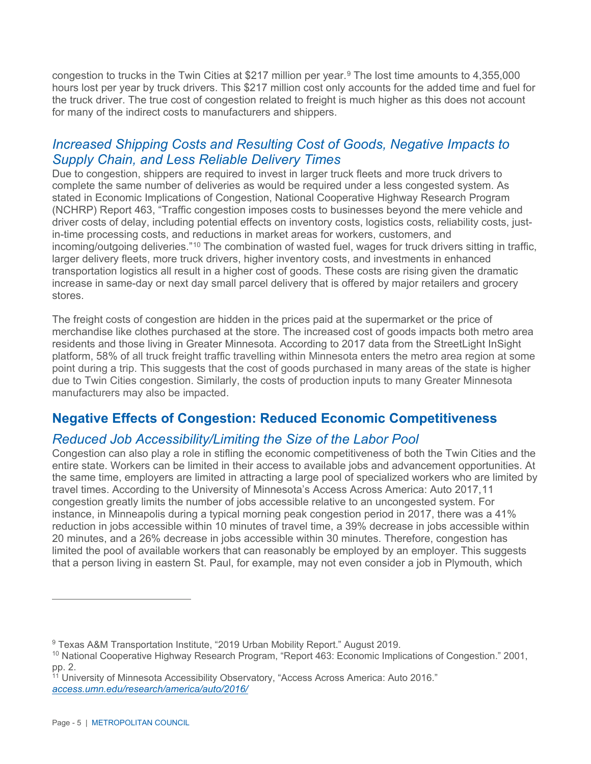congestion to trucks in the Twin Cities at \$217 million per year.<sup>[9](#page-4-0)</sup> The lost time amounts to 4,355,000 hours lost per year by truck drivers. This \$217 million cost only accounts for the added time and fuel for the truck driver. The true cost of congestion related to freight is much higher as this does not account for many of the indirect costs to manufacturers and shippers.

#### *Increased Shipping Costs and Resulting Cost of Goods, Negative Impacts to Supply Chain, and Less Reliable Delivery Times*

Due to congestion, shippers are required to invest in larger truck fleets and more truck drivers to complete the same number of deliveries as would be required under a less congested system. As stated in Economic Implications of Congestion, National Cooperative Highway Research Program (NCHRP) Report 463, "Traffic congestion imposes costs to businesses beyond the mere vehicle and driver costs of delay, including potential effects on inventory costs, logistics costs, reliability costs, justin-time processing costs, and reductions in market areas for workers, customers, and incoming/outgoing deliveries."[10](#page-4-1) The combination of wasted fuel, wages for truck drivers sitting in traffic, larger delivery fleets, more truck drivers, higher inventory costs, and investments in enhanced transportation logistics all result in a higher cost of goods. These costs are rising given the dramatic increase in same-day or next day small parcel delivery that is offered by major retailers and grocery stores.

The freight costs of congestion are hidden in the prices paid at the supermarket or the price of merchandise like clothes purchased at the store. The increased cost of goods impacts both metro area residents and those living in Greater Minnesota. According to 2017 data from the StreetLight InSight platform, 58% of all truck freight traffic travelling within Minnesota enters the metro area region at some point during a trip. This suggests that the cost of goods purchased in many areas of the state is higher due to Twin Cities congestion. Similarly, the costs of production inputs to many Greater Minnesota manufacturers may also be impacted.

# **Negative Effects of Congestion: Reduced Economic Competitiveness**

## *Reduced Job Accessibility/Limiting the Size of the Labor Pool*

Congestion can also play a role in stifling the economic competitiveness of both the Twin Cities and the entire state. Workers can be limited in their access to available jobs and advancement opportunities. At the same time, employers are limited in attracting a large pool of specialized workers who are limited by travel times. According to the University of Minnesota's Access Across America: Auto 2017,[11](#page-4-2) congestion greatly limits the number of jobs accessible relative to an uncongested system. For instance, in Minneapolis during a typical morning peak congestion period in 2017, there was a 41% reduction in jobs accessible within 10 minutes of travel time, a 39% decrease in jobs accessible within 20 minutes, and a 26% decrease in jobs accessible within 30 minutes. Therefore, congestion has limited the pool of available workers that can reasonably be employed by an employer. This suggests that a person living in eastern St. Paul, for example, may not even consider a job in Plymouth, which

<span id="page-4-0"></span><sup>9</sup> Texas A&M Transportation Institute, "2019 Urban Mobility Report." August 2019.

<span id="page-4-1"></span><sup>10</sup> National Cooperative Highway Research Program, "Report 463: Economic Implications of Congestion." 2001, pp. 2.

<span id="page-4-2"></span><sup>&</sup>lt;sup>11</sup> University of Minnesota Accessibility Observatory, "Access Across America: Auto 2016." *[access.umn.edu/research/america/auto/2016/](http://access.umn.edu/research/america/auto/2016/)*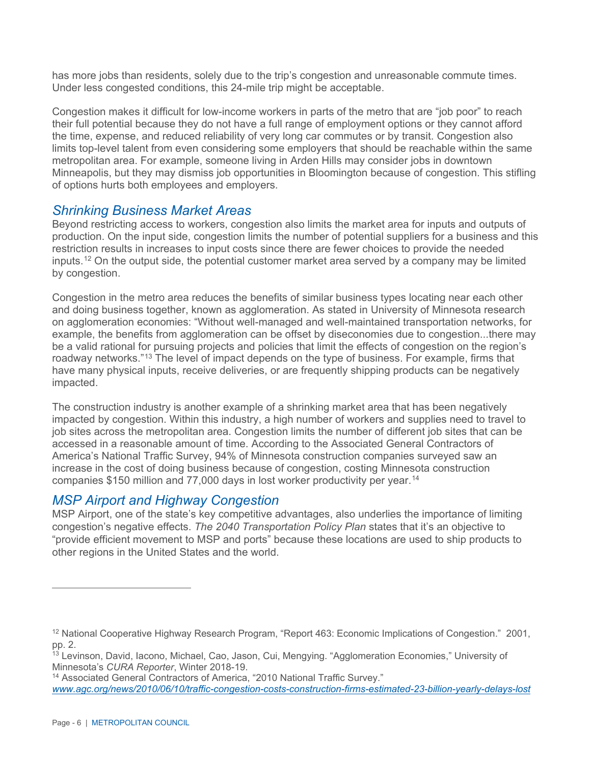has more jobs than residents, solely due to the trip's congestion and unreasonable commute times. Under less congested conditions, this 24-mile trip might be acceptable.

Congestion makes it difficult for low-income workers in parts of the metro that are "job poor" to reach their full potential because they do not have a full range of employment options or they cannot afford the time, expense, and reduced reliability of very long car commutes or by transit. Congestion also limits top-level talent from even considering some employers that should be reachable within the same metropolitan area. For example, someone living in Arden Hills may consider jobs in downtown Minneapolis, but they may dismiss job opportunities in Bloomington because of congestion. This stifling of options hurts both employees and employers.

#### *Shrinking Business Market Areas*

Beyond restricting access to workers, congestion also limits the market area for inputs and outputs of production. On the input side, congestion limits the number of potential suppliers for a business and this restriction results in increases to input costs since there are fewer choices to provide the needed inputs.[12](#page-5-0) On the output side, the potential customer market area served by a company may be limited by congestion.

Congestion in the metro area reduces the benefits of similar business types locating near each other and doing business together, known as agglomeration. As stated in University of Minnesota research on agglomeration economies: "Without well-managed and well-maintained transportation networks, for example, the benefits from agglomeration can be offset by diseconomies due to congestion...there may be a valid rational for pursuing projects and policies that limit the effects of congestion on the region's roadway networks."[13](#page-5-1) The level of impact depends on the type of business. For example, firms that have many physical inputs, receive deliveries, or are frequently shipping products can be negatively impacted.

The construction industry is another example of a shrinking market area that has been negatively impacted by congestion. Within this industry, a high number of workers and supplies need to travel to job sites across the metropolitan area. Congestion limits the number of different job sites that can be accessed in a reasonable amount of time. According to the Associated General Contractors of America's National Traffic Survey, 94% of Minnesota construction companies surveyed saw an increase in the cost of doing business because of congestion, costing Minnesota construction companies \$150 million and 77,000 days in lost worker productivity per year.[14](#page-5-2)

## *MSP Airport and Highway Congestion*

MSP Airport, one of the state's key competitive advantages, also underlies the importance of limiting congestion's negative effects. *The 2040 Transportation Policy Plan* states that it's an objective to "provide efficient movement to MSP and ports" because these locations are used to ship products to other regions in the United States and the world.

<span id="page-5-0"></span><sup>&</sup>lt;sup>12</sup> National Cooperative Highway Research Program, "Report 463: Economic Implications of Congestion." 2001, pp. 2.

<span id="page-5-1"></span><sup>&</sup>lt;sup>13</sup> Levinson, David, Iacono, Michael, Cao, Jason, Cui, Mengying. "Agglomeration Economies," University of Minnesota's *CURA Reporter*, Winter 2018-19.

<span id="page-5-2"></span><sup>&</sup>lt;sup>14</sup> Associated General Contractors of America, "2010 National Traffic Survey." *[www.agc.org/news/2010/06/10/traffic-congestion-costs-construction-firms-estimated-23-billion-yearly-delays-lost](http://www.agc.org/news/2010/06/10/traffic-congestion-costs-construction-firms-estimated-23-billion-yearly-delays-lost)*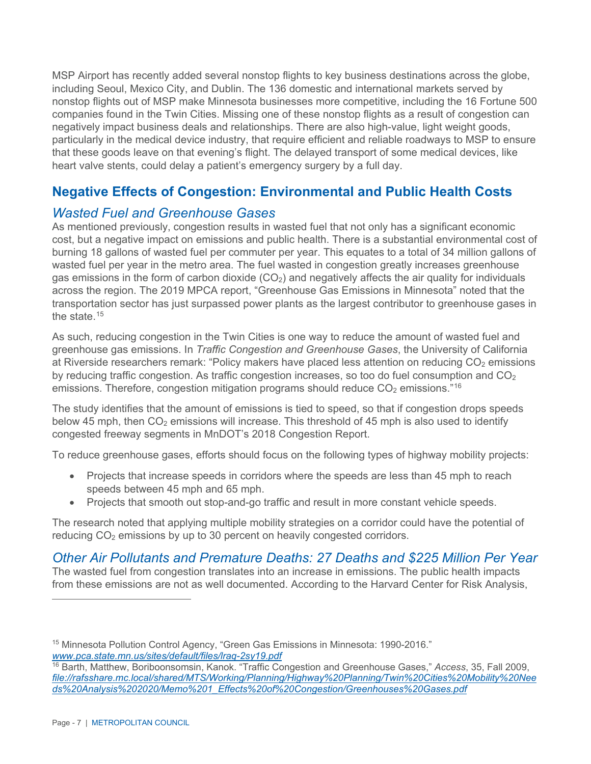MSP Airport has recently added several nonstop flights to key business destinations across the globe, including Seoul, Mexico City, and Dublin. The 136 domestic and international markets served by nonstop flights out of MSP make Minnesota businesses more competitive, including the 16 Fortune 500 companies found in the Twin Cities. Missing one of these nonstop flights as a result of congestion can negatively impact business deals and relationships. There are also high-value, light weight goods, particularly in the medical device industry, that require efficient and reliable roadways to MSP to ensure that these goods leave on that evening's flight. The delayed transport of some medical devices, like heart valve stents, could delay a patient's emergency surgery by a full day.

# **Negative Effects of Congestion: Environmental and Public Health Costs**

## *Wasted Fuel and Greenhouse Gases*

As mentioned previously, congestion results in wasted fuel that not only has a significant economic cost, but a negative impact on emissions and public health. There is a substantial environmental cost of burning 18 gallons of wasted fuel per commuter per year. This equates to a total of 34 million gallons of wasted fuel per year in the metro area. The fuel wasted in congestion greatly increases greenhouse gas emissions in the form of carbon dioxide  $(CO<sub>2</sub>)$  and negatively affects the air quality for individuals across the region. The 2019 MPCA report, "Greenhouse Gas Emissions in Minnesota" noted that the transportation sector has just surpassed power plants as the largest contributor to greenhouse gases in the state  $15$ 

As such, reducing congestion in the Twin Cities is one way to reduce the amount of wasted fuel and greenhouse gas emissions. In *Traffic Congestion and Greenhouse Gases*, the University of California at Riverside researchers remark: "Policy makers have placed less attention on reducing  $CO<sub>2</sub>$  emissions by reducing traffic congestion. As traffic congestion increases, so too do fuel consumption and  $CO<sub>2</sub>$ emissions. Therefore, congestion mitigation programs should reduce  $CO<sub>2</sub>$  emissions."<sup>[16](#page-6-1)</sup>

The study identifies that the amount of emissions is tied to speed, so that if congestion drops speeds below 45 mph, then  $CO<sub>2</sub>$  emissions will increase. This threshold of 45 mph is also used to identify congested freeway segments in MnDOT's 2018 Congestion Report.

To reduce greenhouse gases, efforts should focus on the following types of highway mobility projects:

- Projects that increase speeds in corridors where the speeds are less than 45 mph to reach speeds between 45 mph and 65 mph.
- Projects that smooth out stop-and-go traffic and result in more constant vehicle speeds.

The research noted that applying multiple mobility strategies on a corridor could have the potential of reducing  $CO<sub>2</sub>$  emissions by up to 30 percent on heavily congested corridors.

*Other Air Pollutants and Premature Deaths: 27 Deaths and \$225 Million Per Year* The wasted fuel from congestion translates into an increase in emissions. The public health impacts from these emissions are not as well documented. According to the Harvard Center for Risk Analysis,

<span id="page-6-0"></span><sup>&</sup>lt;sup>15</sup> Minnesota Pollution Control Agency, "Green Gas Emissions in Minnesota: 1990-2016." *[www.pca.state.mn.us/sites/default/files/lraq-2sy19.pdf](http://www.pca.state.mn.us/sites/default/files/lraq-2sy19.pdf)*

<span id="page-6-1"></span><sup>16</sup> Barth, Matthew, Boriboonsomsin, Kanok. "Traffic Congestion and Greenhouse Gases," *Access*, 35, Fall 2009, *[file://rafsshare.mc.local/shared/MTS/Working/Planning/Highway%20Planning/Twin%20Cities%20Mobility%20Nee](file://rafsshare.mc.local/shared/MTS/Working/Planning/Highway%20Planning/Twin%20Cities%20Mobility%20Needs%20Analysis%202020/Memo%201_Effects%20of%20Congestion/Greenhouses%20Gases.pdf) [ds%20Analysis%202020/Memo%201\\_Effects%20of%20Congestion/Greenhouses%20Gases.pdf](file://rafsshare.mc.local/shared/MTS/Working/Planning/Highway%20Planning/Twin%20Cities%20Mobility%20Needs%20Analysis%202020/Memo%201_Effects%20of%20Congestion/Greenhouses%20Gases.pdf)*